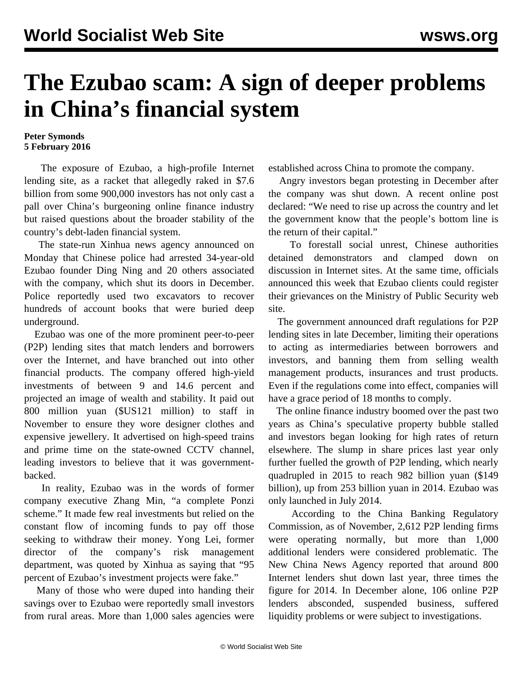## **The Ezubao scam: A sign of deeper problems in China's financial system**

## **Peter Symonds 5 February 2016**

 The exposure of Ezubao, a high-profile Internet lending site, as a racket that allegedly raked in \$7.6 billion from some 900,000 investors has not only cast a pall over China's burgeoning online finance industry but raised questions about the broader stability of the country's debt-laden financial system.

 The state-run Xinhua news agency announced on Monday that Chinese police had arrested 34-year-old Ezubao founder Ding Ning and 20 others associated with the company, which shut its doors in December. Police reportedly used two excavators to recover hundreds of account books that were buried deep underground.

 Ezubao was one of the more prominent peer-to-peer (P2P) lending sites that match lenders and borrowers over the Internet, and have branched out into other financial products. The company offered high-yield investments of between 9 and 14.6 percent and projected an image of wealth and stability. It paid out 800 million yuan (\$US121 million) to staff in November to ensure they wore designer clothes and expensive jewellery. It advertised on high-speed trains and prime time on the state-owned CCTV channel, leading investors to believe that it was governmentbacked.

 In reality, Ezubao was in the words of former company executive Zhang Min, "a complete Ponzi scheme." It made few real investments but relied on the constant flow of incoming funds to pay off those seeking to withdraw their money. Yong Lei, former director of the company's risk management department, was quoted by Xinhua as saying that "95 percent of Ezubao's investment projects were fake."

 Many of those who were duped into handing their savings over to Ezubao were reportedly small investors from rural areas. More than 1,000 sales agencies were established across China to promote the company.

 Angry investors began protesting in December after the company was shut down. A recent online post declared: "We need to rise up across the country and let the government know that the people's bottom line is the return of their capital."

 To forestall social unrest, Chinese authorities detained demonstrators and clamped down on discussion in Internet sites. At the same time, officials announced this week that Ezubao clients could register their grievances on the Ministry of Public Security web site.

 The government announced draft regulations for P2P lending sites in late December, limiting their operations to acting as intermediaries between borrowers and investors, and banning them from selling wealth management products, insurances and trust products. Even if the regulations come into effect, companies will have a grace period of 18 months to comply.

 The online finance industry boomed over the past two years as China's speculative property bubble stalled and investors began looking for high rates of return elsewhere. The slump in share prices last year only further fuelled the growth of P2P lending, which nearly quadrupled in 2015 to reach 982 billion yuan (\$149 billion), up from 253 billion yuan in 2014. Ezubao was only launched in July 2014.

 According to the China Banking Regulatory Commission, as of November, 2,612 P2P lending firms were operating normally, but more than 1,000 additional lenders were considered problematic. The New China News Agency reported that around 800 Internet lenders shut down last year, three times the figure for 2014. In December alone, 106 online P2P lenders absconded, suspended business, suffered liquidity problems or were subject to investigations.